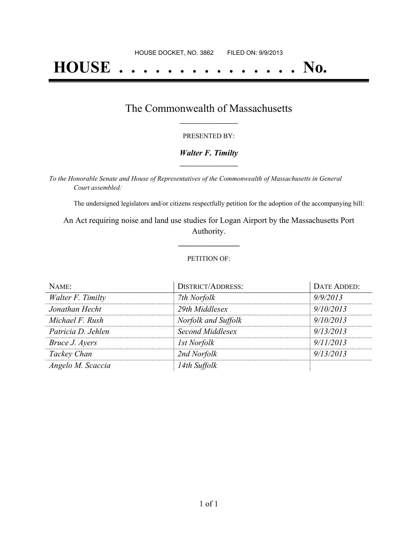# **HOUSE . . . . . . . . . . . . . . . No.**

### The Commonwealth of Massachusetts **\_\_\_\_\_\_\_\_\_\_\_\_\_\_\_\_\_**

#### PRESENTED BY:

#### *Walter F. Timilty* **\_\_\_\_\_\_\_\_\_\_\_\_\_\_\_\_\_**

*To the Honorable Senate and House of Representatives of the Commonwealth of Massachusetts in General Court assembled:*

The undersigned legislators and/or citizens respectfully petition for the adoption of the accompanying bill:

An Act requiring noise and land use studies for Logan Airport by the Massachusetts Port Authority.

**\_\_\_\_\_\_\_\_\_\_\_\_\_\_\_**

#### PETITION OF:

| NAME:              | <b>DISTRICT/ADDRESS:</b> | DATE ADDED: |
|--------------------|--------------------------|-------------|
| Walter F. Timilty  | 7th Norfolk              | 9/9/2013    |
| Jonathan Hecht     | 29th Middlesex           | 9/10/2013   |
| Michael F. Rush    | Norfolk and Suffolk      | 9/10/2013   |
| Patricia D. Jehlen | Second Middlesex         | 9/13/2013   |
| Bruce J. Ayers     | <i>Ist Norfolk</i>       | 9/11/2013   |
| Tackey Chan        | 2nd Norfolk              | 9/13/2013   |
| Angelo M. Scaccia  | 14th Suffolk             |             |